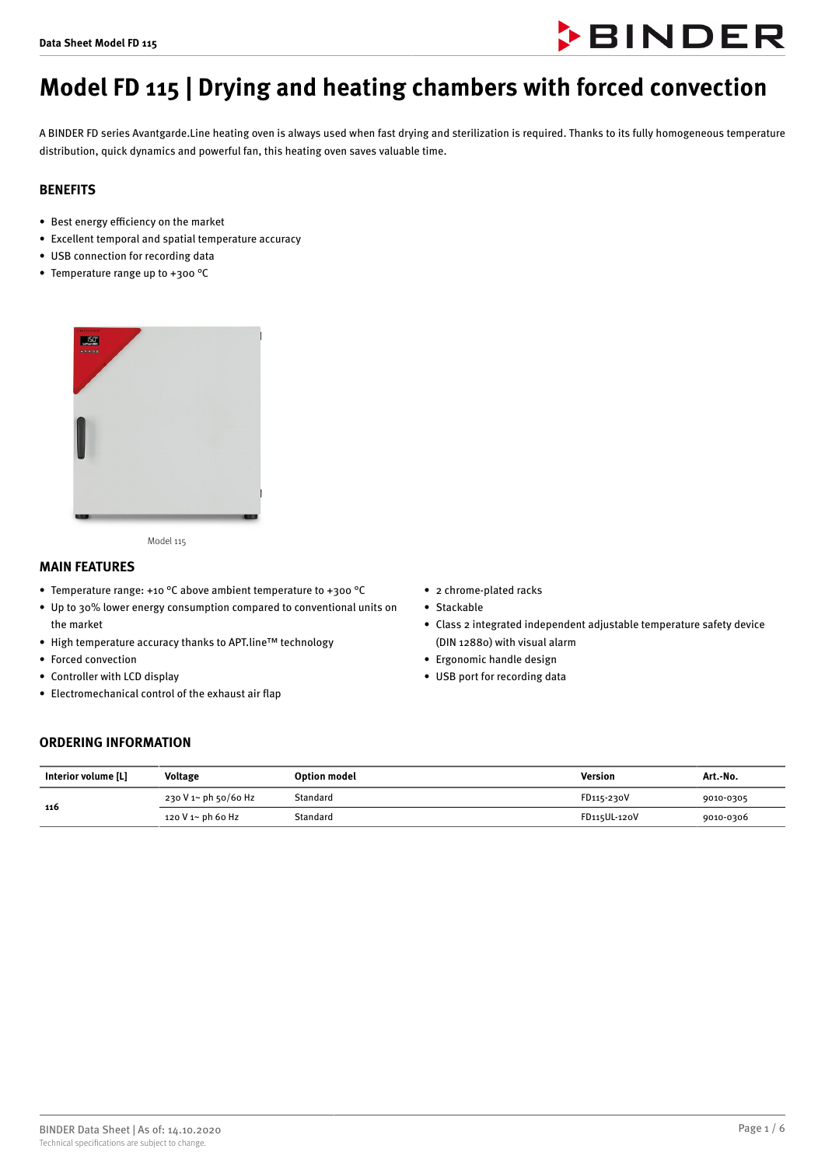

# **Model FD 115 | Drying and heating chambers with forced convection**

A BINDER FD series Avantgarde.Line heating oven is always used when fast drying and sterilization is required. Thanks to its fully homogeneous temperature distribution, quick dynamics and powerful fan, this heating oven saves valuable time.

# **BENEFITS**

- $\bullet$  Best energy efficiency on the market
- Excellent temporal and spatial temperature accuracy
- USB connection for recording data
- Temperature range up to +300 °C



Model 115

#### **MAIN FEATURES**

- Temperature range: +10 °C above ambient temperature to +300 °C
- Up to 30% lower energy consumption compared to conventional units on the market
- High temperature accuracy thanks to APT.line™ technology
- Forced convection
- Controller with LCD display
- Electromechanical control of the exhaust air flap
- 2 chrome-plated racks
- Stackable
- Class 2 integrated independent adjustable temperature safety device (DIN 12880) with visual alarm
- Ergonomic handle design
- USB port for recording data

## **ORDERING INFORMATION**

| Interior volume [L] | Voltage              | <b>Option model</b> | Version      | Art.-No.  |
|---------------------|----------------------|---------------------|--------------|-----------|
| 116                 | 230 V 1~ ph 50/60 Hz | Standard            | FD115-230V   | 9010-0305 |
|                     | 120 V 1~ ph 60 Hz    | Standard            | FD115UL-120V | 9010-0306 |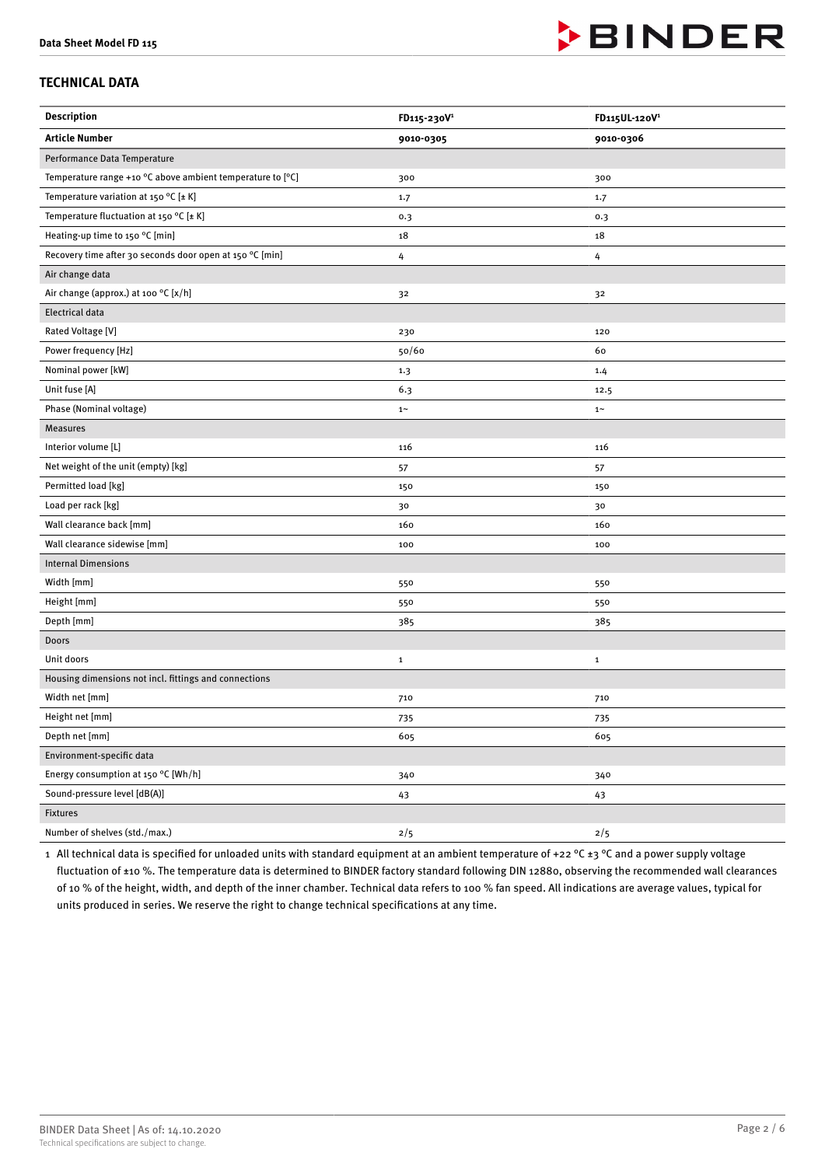

# **TECHNICAL DATA**

| <b>Description</b>                                                           | FD115-230V <sup>1</sup> | FD115UL-120V <sup>1</sup> |
|------------------------------------------------------------------------------|-------------------------|---------------------------|
| <b>Article Number</b>                                                        | 9010-0305               | 9010-0306                 |
| Performance Data Temperature                                                 |                         |                           |
| Temperature range +10 $\degree$ C above ambient temperature to $[\degree C]$ | 300                     | 300                       |
| Temperature variation at 150 °C [ $\pm$ K]                                   | 1.7                     | 1.7                       |
| Temperature fluctuation at 150 °C [ $\pm$ K]                                 | 0.3                     | 0.3                       |
| Heating-up time to 150 °C [min]                                              | 18                      | 18                        |
| Recovery time after 30 seconds door open at 150 °C [min]                     | 4                       | 4                         |
| Air change data                                                              |                         |                           |
| Air change (approx.) at 100 °C [x/h]                                         | 32                      | 32                        |
| <b>Electrical data</b>                                                       |                         |                           |
| Rated Voltage [V]                                                            | 230                     | 120                       |
| Power frequency [Hz]                                                         | 50/60                   | 60                        |
| Nominal power [kW]                                                           | 1.3                     | 1.4                       |
| Unit fuse [A]                                                                | 6.3                     | 12.5                      |
| Phase (Nominal voltage)                                                      | $1\sim$                 | $1\sim$                   |
| <b>Measures</b>                                                              |                         |                           |
| Interior volume [L]                                                          | 116                     | 116                       |
| Net weight of the unit (empty) [kg]                                          | 57                      | 57                        |
| Permitted load [kg]                                                          | 150                     | 150                       |
| Load per rack [kg]                                                           | 30                      | 30                        |
| Wall clearance back [mm]                                                     | 160                     | 160                       |
| Wall clearance sidewise [mm]                                                 | 100                     | 100                       |
| <b>Internal Dimensions</b>                                                   |                         |                           |
| Width [mm]                                                                   | 550                     | 550                       |
| Height [mm]                                                                  | 550                     | 550                       |
| Depth [mm]                                                                   | 385                     | 385                       |
| Doors                                                                        |                         |                           |
| Unit doors                                                                   | $\mathbf 1$             | $\mathbf{1}$              |
| Housing dimensions not incl. fittings and connections                        |                         |                           |
| Width net [mm]                                                               | 710                     | 710                       |
| Height net [mm]                                                              | 735                     | 735                       |
| Depth net [mm]                                                               | 605                     | 605                       |
| Environment-specific data                                                    |                         |                           |
| Energy consumption at 150 °C [Wh/h]                                          | 340                     | 340                       |
| Sound-pressure level [dB(A)]                                                 | 43                      | 43                        |
| Fixtures                                                                     |                         |                           |
| Number of shelves (std./max.)                                                | 2/5                     | 2/5                       |

1 All technical data is specified for unloaded units with standard equipment at an ambient temperature of +22 °C  $\pm$ 3 °C and a power supply voltage fluctuation of ±10 %. The temperature data is determined to BINDER factory standard following DIN 12880, observing the recommended wall clearances of 10 % of the height, width, and depth of the inner chamber. Technical data refers to 100 % fan speed. All indications are average values, typical for units produced in series. We reserve the right to change technical specifications at any time.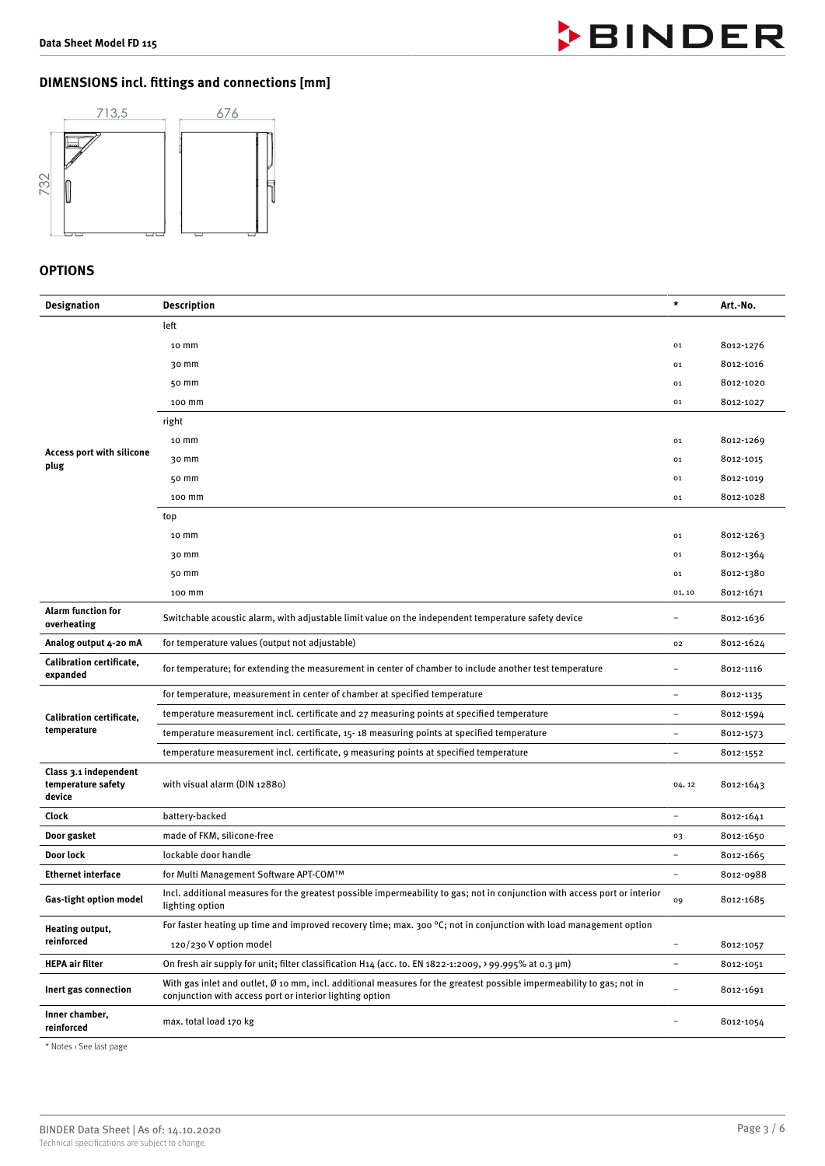

# **DIMENSIONS incl. 5ttings and connections [mm]**



# **OPTIONS**

| <b>Designation</b>                                    | <b>Description</b>                                                                                                                                                                | $\star$                  | Art.-No.  |
|-------------------------------------------------------|-----------------------------------------------------------------------------------------------------------------------------------------------------------------------------------|--------------------------|-----------|
|                                                       | left                                                                                                                                                                              |                          |           |
|                                                       | 10 mm                                                                                                                                                                             | 01                       | 8012-1276 |
|                                                       | 30 mm                                                                                                                                                                             | 01                       | 8012-1016 |
|                                                       | 50 mm                                                                                                                                                                             | 01                       | 8012-1020 |
|                                                       | 100 mm                                                                                                                                                                            | 01                       | 8012-1027 |
|                                                       | right                                                                                                                                                                             |                          |           |
|                                                       | 10 <sub>mm</sub>                                                                                                                                                                  | 01                       | 8012-1269 |
| Access port with silicone<br>plug                     | 30 mm                                                                                                                                                                             | 01                       | 8012-1015 |
|                                                       | 50 mm                                                                                                                                                                             | 01                       | 8012-1019 |
|                                                       | 100 mm                                                                                                                                                                            | 01                       | 8012-1028 |
|                                                       | top                                                                                                                                                                               |                          |           |
|                                                       | 10 mm                                                                                                                                                                             | 01                       | 8012-1263 |
|                                                       | 30 mm                                                                                                                                                                             | 01                       | 8012-1364 |
|                                                       | 50 mm                                                                                                                                                                             | 01                       | 8012-1380 |
|                                                       | 100 mm                                                                                                                                                                            | 01, 10                   | 8012-1671 |
| <b>Alarm function for</b><br>overheating              | Switchable acoustic alarm, with adjustable limit value on the independent temperature safety device                                                                               | $\overline{\phantom{0}}$ | 8012-1636 |
| Analog output 4-20 mA                                 | for temperature values (output not adjustable)                                                                                                                                    | 02                       | 8012-1624 |
| Calibration certificate,<br>expanded                  | for temperature; for extending the measurement in center of chamber to include another test temperature                                                                           |                          | 8012-1116 |
|                                                       | for temperature, measurement in center of chamber at specified temperature                                                                                                        | $\overline{\phantom{a}}$ | 8012-1135 |
| Calibration certificate,                              | temperature measurement incl. certificate and 27 measuring points at specified temperature                                                                                        |                          | 8012-1594 |
| temperature                                           | temperature measurement incl. certificate, 15-18 measuring points at specified temperature                                                                                        |                          | 8012-1573 |
|                                                       | temperature measurement incl. certificate, 9 measuring points at specified temperature                                                                                            | $\overline{\phantom{a}}$ | 8012-1552 |
| Class 3.1 independent<br>temperature safety<br>device | with visual alarm (DIN 12880)                                                                                                                                                     | 04, 12                   | 8012-1643 |
| Clock                                                 | battery-backed                                                                                                                                                                    |                          | 8012-1641 |
| Door gasket                                           | made of FKM, silicone-free                                                                                                                                                        | 03                       | 8012-1650 |
| Door lock                                             | lockable door handle                                                                                                                                                              |                          | 8012-1665 |
| <b>Ethernet interface</b>                             | for Multi Management Software APT-COM™                                                                                                                                            |                          | 8012-0988 |
| Gas-tight option model                                | Incl. additional measures for the greatest possible impermeability to gas; not in conjunction with access port or interior<br>lighting option                                     | 09                       | 8012-1685 |
| Heating output,<br>reinforced                         | For faster heating up time and improved recovery time; max. 300 $^{\circ}$ C; not in conjunction with load management option                                                      |                          |           |
|                                                       | 120/230 V option model                                                                                                                                                            | $\overline{\phantom{a}}$ | 8012-1057 |
| <b>HEPA air filter</b>                                | On fresh air supply for unit; filter classification H14 (acc. to. EN 1822-1:2009, > 99.995% at 0.3 $\mu$ m)                                                                       | $\overline{\phantom{a}}$ | 8012-1051 |
| Inert gas connection                                  | With gas inlet and outlet, Ø 10 mm, incl. additional measures for the greatest possible impermeability to gas; not in<br>conjunction with access port or interior lighting option | $\overline{\phantom{0}}$ | 8012-1691 |
| Inner chamber,<br>reinforced                          | max. total load 170 kg                                                                                                                                                            |                          | 8012-1054 |

\* Notes › See last page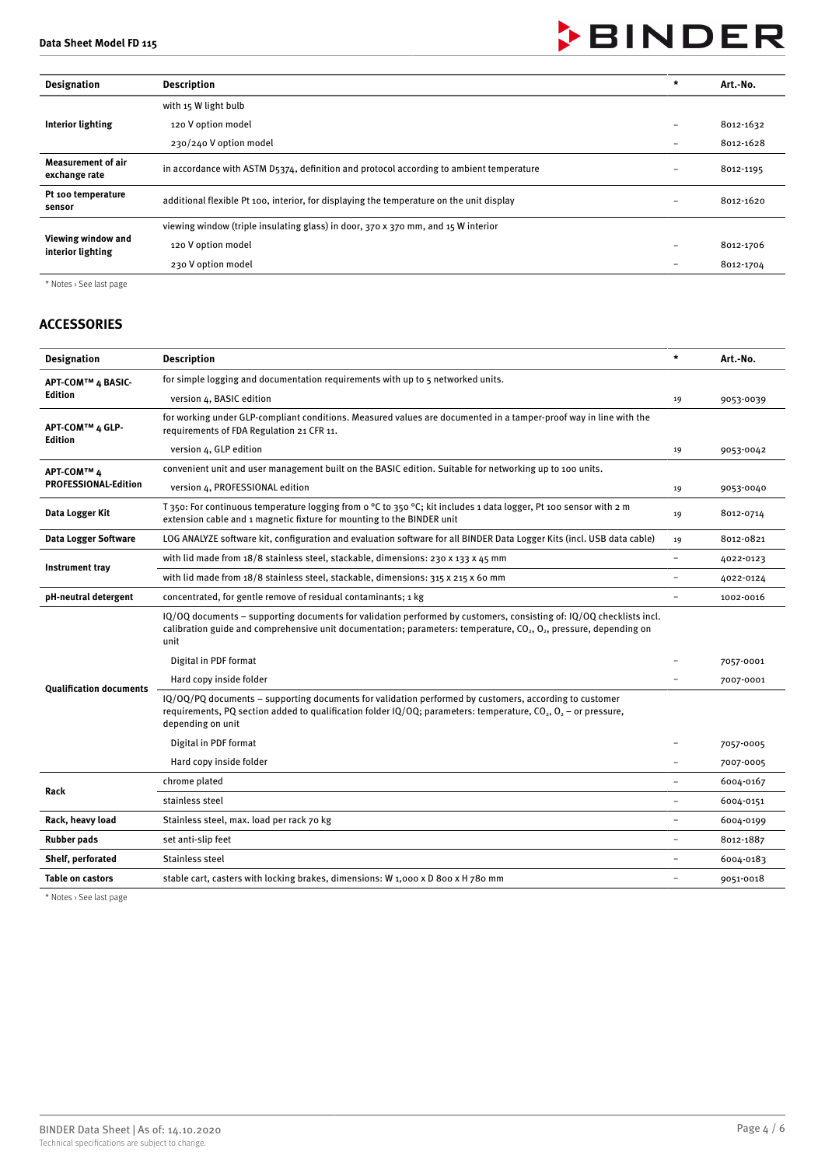# **BINDER**

| <b>Designation</b>                         | <b>Description</b>                                                                       |   | Art.-No.  |
|--------------------------------------------|------------------------------------------------------------------------------------------|---|-----------|
| Interior lighting                          | with 15 W light bulb                                                                     |   |           |
|                                            | 120 V option model                                                                       |   | 8012-1632 |
|                                            | 230/240 V option model                                                                   | - | 8012-1628 |
| <b>Measurement of air</b><br>exchange rate | in accordance with ASTM D5374, definition and protocol according to ambient temperature  |   | 8012-1195 |
| Pt 100 temperature<br>sensor               | additional flexible Pt 100, interior, for displaying the temperature on the unit display |   | 8012-1620 |
| Viewing window and<br>interior lighting    | viewing window (triple insulating glass) in door, 370 x 370 mm, and 15 W interior        |   |           |
|                                            | 120 V option model                                                                       |   | 8012-1706 |
|                                            | 230 V option model                                                                       |   | 8012-1704 |

\* Notes › See last page

# **ACCESSORIES**

| <b>Designation</b>             | <b>Description</b>                                                                                                                                                                                                                                     | $\star$                  | Art.-No.  |
|--------------------------------|--------------------------------------------------------------------------------------------------------------------------------------------------------------------------------------------------------------------------------------------------------|--------------------------|-----------|
| APT-COM™ 4 BASIC-              | for simple logging and documentation requirements with up to 5 networked units.                                                                                                                                                                        |                          |           |
| Edition                        | version 4, BASIC edition                                                                                                                                                                                                                               | 19                       | 9053-0039 |
| APT-COM™ 4 GLP-<br>Edition     | for working under GLP-compliant conditions. Measured values are documented in a tamper-proof way in line with the<br>requirements of FDA Regulation 21 CFR 11.                                                                                         |                          |           |
|                                | version 4, GLP edition                                                                                                                                                                                                                                 | 19                       | 9053-0042 |
| APT-COM™ 4                     | convenient unit and user management built on the BASIC edition. Suitable for networking up to 100 units.                                                                                                                                               |                          |           |
| <b>PROFESSIONAL-Edition</b>    | version 4, PROFESSIONAL edition                                                                                                                                                                                                                        | 19                       | 9053-0040 |
| Data Logger Kit                | T 350: For continuous temperature logging from o °C to 350 °C; kit includes 1 data logger, Pt 100 sensor with 2 m<br>extension cable and 1 magnetic fixture for mounting to the BINDER unit                                                            |                          | 8012-0714 |
| Data Logger Software           | LOG ANALYZE software kit, configuration and evaluation software for all BINDER Data Logger Kits (incl. USB data cable)                                                                                                                                 | 19                       | 8012-0821 |
| Instrument tray                | with lid made from 18/8 stainless steel, stackable, dimensions: 230 x 133 x 45 mm                                                                                                                                                                      | ÷                        | 4022-0123 |
|                                | with lid made from 18/8 stainless steel, stackable, dimensions: 315 x 215 x 60 mm                                                                                                                                                                      | $\overline{\phantom{a}}$ | 4022-0124 |
| pH-neutral detergent           | concentrated, for gentle remove of residual contaminants; 1 kg                                                                                                                                                                                         |                          | 1002-0016 |
|                                | IQ/OQ documents - supporting documents for validation performed by customers, consisting of: IQ/OQ checklists incl.<br>calibration guide and comprehensive unit documentation; parameters: temperature, $CO2$ , $O2$ , pressure, depending on<br>unit  |                          |           |
|                                | Digital in PDF format                                                                                                                                                                                                                                  |                          | 7057-0001 |
|                                | Hard copy inside folder                                                                                                                                                                                                                                |                          | 7007-0001 |
| <b>Qualification documents</b> | IQ/OQ/PQ documents - supporting documents for validation performed by customers, according to customer<br>requirements, PQ section added to qualification folder $IQ/OQ$ ; parameters: temperature, $CO_2$ , $O_2$ – or pressure,<br>depending on unit |                          |           |
|                                | Digital in PDF format                                                                                                                                                                                                                                  |                          | 7057-0005 |
|                                | Hard copy inside folder                                                                                                                                                                                                                                |                          | 7007-0005 |
| Rack                           | chrome plated                                                                                                                                                                                                                                          |                          | 6004-0167 |
|                                | stainless steel                                                                                                                                                                                                                                        |                          | 6004-0151 |
| Rack, heavy load               | Stainless steel, max. load per rack 70 kg                                                                                                                                                                                                              | $\overline{\phantom{a}}$ | 6004-0199 |
| <b>Rubber pads</b>             | set anti-slip feet                                                                                                                                                                                                                                     |                          | 8012-1887 |
| Shelf, perforated              | Stainless steel                                                                                                                                                                                                                                        |                          | 6004-0183 |
| <b>Table on castors</b>        | stable cart, casters with locking brakes, dimensions: W 1,000 x D 800 x H 780 mm                                                                                                                                                                       | $\overline{\phantom{a}}$ | 9051-0018 |
|                                |                                                                                                                                                                                                                                                        |                          |           |

\* Notes › See last page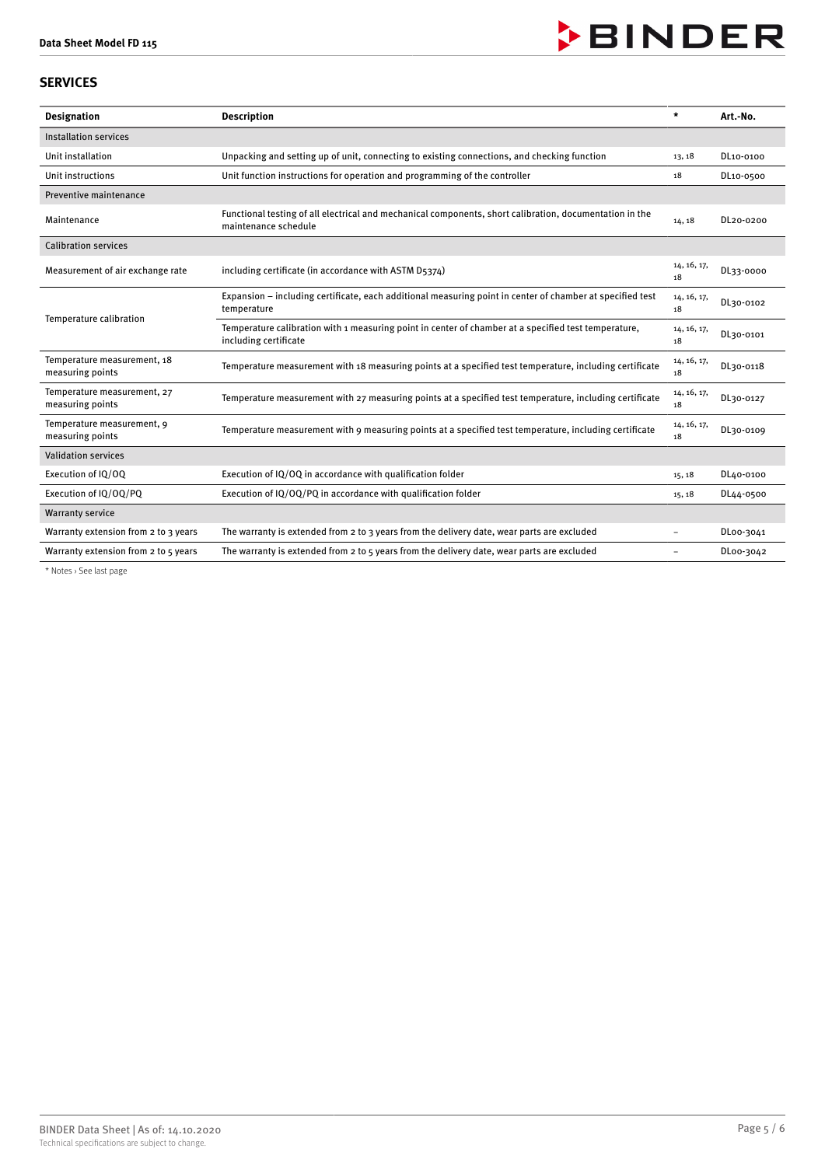

# **SERVICES**

| <b>Designation</b>                              | <b>Description</b>                                                                                                              | $\star$                  | Art.-No.  |
|-------------------------------------------------|---------------------------------------------------------------------------------------------------------------------------------|--------------------------|-----------|
| <b>Installation services</b>                    |                                                                                                                                 |                          |           |
| Unit installation                               | Unpacking and setting up of unit, connecting to existing connections, and checking function                                     | 13, 18                   | DL10-0100 |
| Unit instructions                               | Unit function instructions for operation and programming of the controller                                                      | 18                       | DL10-0500 |
| Preventive maintenance                          |                                                                                                                                 |                          |           |
| Maintenance                                     | Functional testing of all electrical and mechanical components, short calibration, documentation in the<br>maintenance schedule | 14, 18                   | DL20-0200 |
| <b>Calibration services</b>                     |                                                                                                                                 |                          |           |
| Measurement of air exchange rate                | including certificate (in accordance with ASTM D5374)                                                                           | 14, 16, 17,<br>18        | DL33-0000 |
| Temperature calibration                         | Expansion – including certificate, each additional measuring point in center of chamber at specified test<br>temperature        | 14, 16, 17,<br>18        | DL30-0102 |
|                                                 | Temperature calibration with 1 measuring point in center of chamber at a specified test temperature,<br>including certificate   | 14, 16, 17,<br>18        | DL30-0101 |
| Temperature measurement, 18<br>measuring points | Temperature measurement with 18 measuring points at a specified test temperature, including certificate                         | 14, 16, 17,<br>18        | DL30-0118 |
| Temperature measurement, 27<br>measuring points | Temperature measurement with 27 measuring points at a specified test temperature, including certificate                         | 14, 16, 17,<br>18        | DL30-0127 |
| Temperature measurement, 9<br>measuring points  | Temperature measurement with 9 measuring points at a specified test temperature, including certificate                          | 14, 16, 17,<br>18        | DL30-0109 |
| <b>Validation services</b>                      |                                                                                                                                 |                          |           |
| Execution of IQ/OQ                              | Execution of IQ/OQ in accordance with qualification folder                                                                      | 15, 18                   | DL40-0100 |
| Execution of IQ/OQ/PQ                           | Execution of IQ/OQ/PQ in accordance with qualification folder                                                                   | 15, 18                   | DL44-0500 |
| <b>Warranty service</b>                         |                                                                                                                                 |                          |           |
| Warranty extension from 2 to 3 years            | The warranty is extended from 2 to 3 years from the delivery date, wear parts are excluded                                      | $\overline{\phantom{0}}$ | DL00-3041 |
| Warranty extension from 2 to 5 years            | The warranty is extended from 2 to 5 years from the delivery date, wear parts are excluded                                      | $\overline{\phantom{0}}$ | DL00-3042 |

\* Notes › See last page